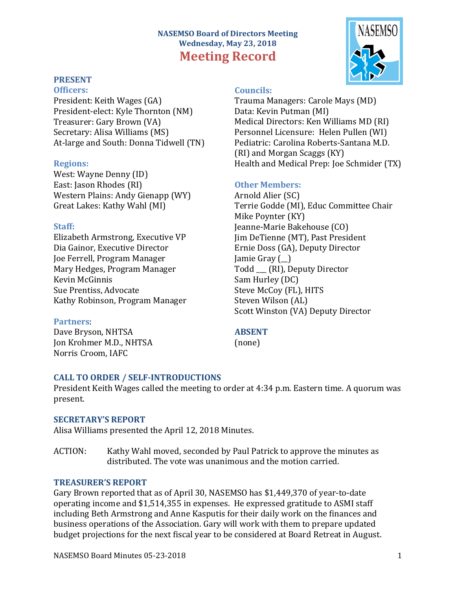# **NASEMSO Board of Directors Meeting Wednesday, May 23, 2018 Meeting Record**

# **PRESENT**

**Officers:** President: Keith Wages (GA)

President-elect: Kyle Thornton (NM) Treasurer: Gary Brown (VA) Secretary: Alisa Williams (MS) At-large and South: Donna Tidwell (TN)

#### **Regions:**

West: Wayne Denny (ID) East: Jason Rhodes (RI) Western Plains: Andy Gienapp (WY) Great Lakes: Kathy Wahl (MI)

#### **Staff:**

Elizabeth Armstrong, Executive VP Dia Gainor, Executive Director Joe Ferrell, Program Manager Mary Hedges, Program Manager Kevin McGinnis Sue Prentiss, Advocate Kathy Robinson, Program Manager

#### **Partners**:

Dave Bryson, NHTSA Jon Krohmer M.D., NHTSA Norris Croom, IAFC

### **Councils:**

Trauma Managers: Carole Mays (MD) Data: Kevin Putman (MI) Medical Directors: Ken Williams MD (RI) Personnel Licensure: Helen Pullen (WI) Pediatric: Carolina Roberts-Santana M.D. (RI) and Morgan Scaggs (KY) Health and Medical Prep: Joe Schmider (TX)

# **Other Members:**

Arnold Alier (SC) Terrie Godde (MI), Educ Committee Chair Mike Poynter (KY) Jeanne-Marie Bakehouse (CO) Jim DeTienne (MT), Past President Ernie Doss (GA), Deputy Director Jamie Gray (\_\_) Todd (RI), Deputy Director Sam Hurley (DC) Steve McCoy (FL), HITS Steven Wilson (AL) Scott Winston (VA) Deputy Director

### **ABSENT**

(none)

#### **CALL TO ORDER / SELF-INTRODUCTIONS**

President Keith Wages called the meeting to order at 4:34 p.m. Eastern time. A quorum was present.

#### **SECRETARY'S REPORT**

Alisa Williams presented the April 12, 2018 Minutes.

ACTION: Kathy Wahl moved, seconded by Paul Patrick to approve the minutes as distributed. The vote was unanimous and the motion carried.

#### **TREASURER'S REPORT**

Gary Brown reported that as of April 30, NASEMSO has \$1,449,370 of year-to-date operating income and \$1,514,355 in expenses. He expressed gratitude to ASMI staff including Beth Armstrong and Anne Kasputis for their daily work on the finances and business operations of the Association. Gary will work with them to prepare updated budget projections for the next fiscal year to be considered at Board Retreat in August.

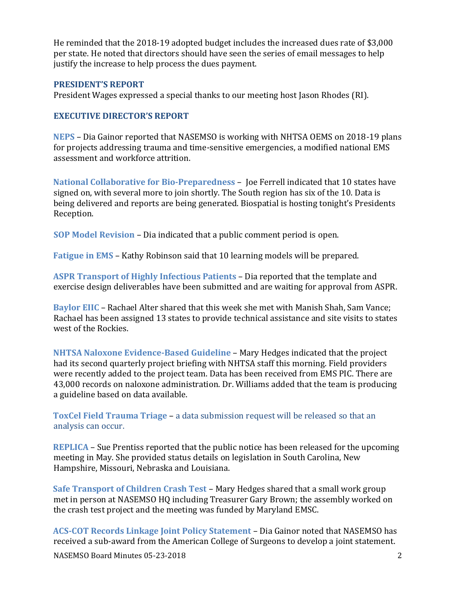He reminded that the 2018-19 adopted budget includes the increased dues rate of \$3,000 per state. He noted that directors should have seen the series of email messages to help justify the increase to help process the dues payment.

#### **PRESIDENT'S REPORT**

President Wages expressed a special thanks to our meeting host Jason Rhodes (RI).

### **EXECUTIVE DIRECTOR'S REPORT**

**NEPS** – Dia Gainor reported that NASEMSO is working with NHTSA OEMS on 2018-19 plans for projects addressing trauma and time-sensitive emergencies, a modified national EMS assessment and workforce attrition.

**National Collaborative for Bio-Preparedness** – Joe Ferrell indicated that 10 states have signed on, with several more to join shortly. The South region has six of the 10. Data is being delivered and reports are being generated. Biospatial is hosting tonight's Presidents Reception.

**SOP Model Revision** – Dia indicated that a public comment period is open.

**Fatigue in EMS** – Kathy Robinson said that 10 learning models will be prepared.

**ASPR Transport of Highly Infectious Patients** – Dia reported that the template and exercise design deliverables have been submitted and are waiting for approval from ASPR.

**Baylor EIIC** – Rachael Alter shared that this week she met with Manish Shah, Sam Vance; Rachael has been assigned 13 states to provide technical assistance and site visits to states west of the Rockies.

**NHTSA Naloxone Evidence-Based Guideline** – Mary Hedges indicated that the project had its second quarterly project briefing with NHTSA staff this morning. Field providers were recently added to the project team. Data has been received from EMS PIC. There are 43,000 records on naloxone administration. Dr. Williams added that the team is producing a guideline based on data available.

**ToxCel Field Trauma Triage** – a data submission request will be released so that an analysis can occur.

**REPLICA** – Sue Prentiss reported that the public notice has been released for the upcoming meeting in May. She provided status details on legislation in South Carolina, New Hampshire, Missouri, Nebraska and Louisiana.

**Safe Transport of Children Crash Test** – Mary Hedges shared that a small work group met in person at NASEMSO HQ including Treasurer Gary Brown; the assembly worked on the crash test project and the meeting was funded by Maryland EMSC.

**ACS-COT Records Linkage Joint Policy Statement** – Dia Gainor noted that NASEMSO has received a sub-award from the American College of Surgeons to develop a joint statement.

NASEMSO Board Minutes 05-23-2018 2